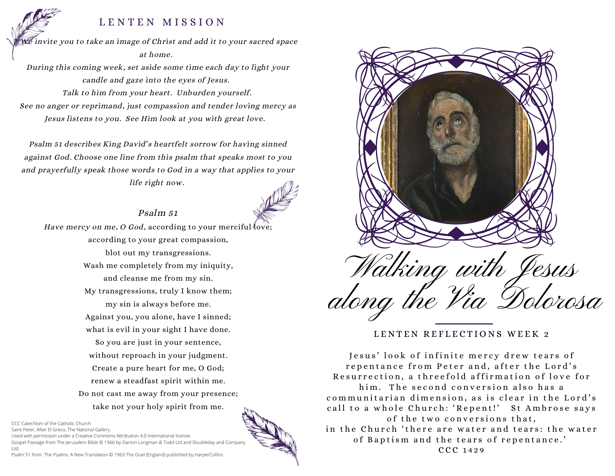## LENTEN MISSION

 $\widetilde{\mathbb{W}^e}$  invite you to take an image of Christ and add it to your sacred space at home.

During this coming week, set aside some time each day to light your candle and gaze into the eyes of Jesus. Talk to him from your heart. Unburden yourself. See no anger or reprimand, just compassion and tender loving mercy as Jesus listens to you. See Him look at you with great love.

Psalm 51 describes King David's heartfelt sorrow for having sinned against God. Choose one line from this psalm that speaks most to you and prayerfully speak those words to God in a way that applies to your life right now.

## Psalm 51



Have mercy on me, O God, according to your merciful love; according to your great compassion, blot out my transgressions. Wash me completely from my iniquity, and cleanse me from my sin. My transgressions, truly I know them; my sin is always before me. Against you, you alone, have I sinned; what is evil in your sight I have done. So you are just in your sentence, without reproach in your judgment. Create a pure heart for me, O God; renew a steadfast spirit within me. Do not cast me away from your presence; take not your holy spirit from me.

CCC Catechism of the Catholic Church

Saint Peter, After El Greco, The National Gallery.

Used with permission under a Creative Commons Attribution 4.0 International license. Gospel Passage from The Jerusalem Bible © 1966 by Darton Longman & Todd Ltd and Doubleday and Company Ltd.

Psalm 51 from The Psalms: A New Translation © 1963 The Grail (England) published by HarperCollins



LENTEN REFLECTIONS WEEK 2

Jesus' look of infinite mercy drew tears of repentance from Peter and, after the Lord's Resurrection, a threefold affirmation of love for him. The second conversion also has a communitarian dimension, as is clear in the Lord's call to a whole Church: 'Repent!' St Ambrose says of the two conversions that, in the Church 'there are water and tears: the water of Baptism and the tears of repentance.' CCC 1429